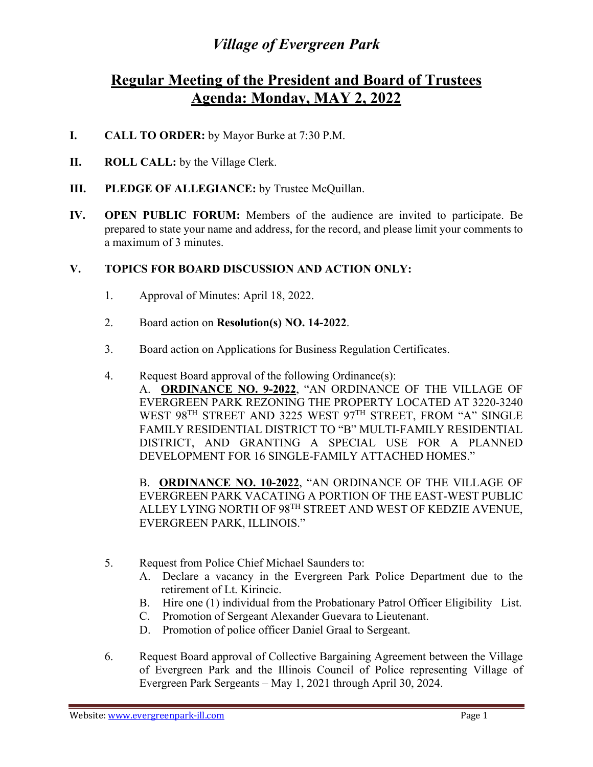## *Village of Evergreen Park*

## **Regular Meeting of the President and Board of Trustees Agenda: Monday, MAY 2, 2022**

- **I. CALL TO ORDER:** by Mayor Burke at 7:30 P.M.
- **II. ROLL CALL:** by the Village Clerk.
- **III.** PLEDGE OF ALLEGIANCE: by Trustee McQuillan.
- **IV. OPEN PUBLIC FORUM:** Members of the audience are invited to participate. Be prepared to state your name and address, for the record, and please limit your comments to a maximum of 3 minutes.

## **V. TOPICS FOR BOARD DISCUSSION AND ACTION ONLY:**

- 1. Approval of Minutes: April 18, 2022.
- 2. Board action on **Resolution(s) NO. 14-2022**.
- 3. Board action on Applications for Business Regulation Certificates.
- 4. Request Board approval of the following Ordinance(s): A. **ORDINANCE NO. 9-2022**, "AN ORDINANCE OF THE VILLAGE OF EVERGREEN PARK REZONING THE PROPERTY LOCATED AT 3220-3240 WEST 98<sup>TH</sup> STREET AND 3225 WEST 97<sup>TH</sup> STREET, FROM "A" SINGLE FAMILY RESIDENTIAL DISTRICT TO "B" MULTI-FAMILY RESIDENTIAL DISTRICT, AND GRANTING A SPECIAL USE FOR A PLANNED DEVELOPMENT FOR 16 SINGLE-FAMILY ATTACHED HOMES."

B. **ORDINANCE NO. 10-2022**, "AN ORDINANCE OF THE VILLAGE OF EVERGREEN PARK VACATING A PORTION OF THE EAST-WEST PUBLIC ALLEY LYING NORTH OF 98TH STREET AND WEST OF KEDZIE AVENUE, EVERGREEN PARK, ILLINOIS."

- 5. Request from Police Chief Michael Saunders to:
	- A. Declare a vacancy in the Evergreen Park Police Department due to the retirement of Lt. Kirincic.
	- B. Hire one (1) individual from the Probationary Patrol Officer Eligibility List.
	- C. Promotion of Sergeant Alexander Guevara to Lieutenant.
	- D. Promotion of police officer Daniel Graal to Sergeant.
- 6. Request Board approval of Collective Bargaining Agreement between the Village of Evergreen Park and the Illinois Council of Police representing Village of Evergreen Park Sergeants – May 1, 2021 through April 30, 2024.